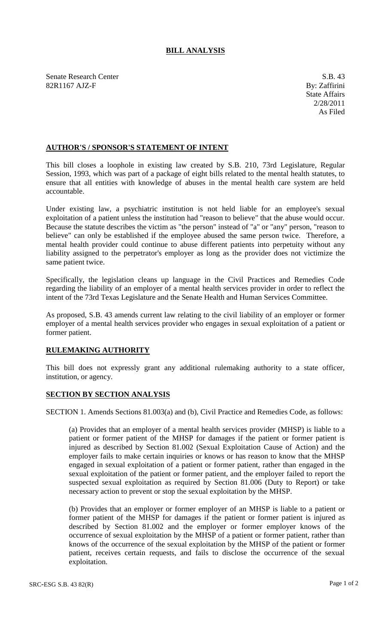## **BILL ANALYSIS**

Senate Research Center S.B. 43 82R1167 AJZ-F By: Zaffirini

## **AUTHOR'S / SPONSOR'S STATEMENT OF INTENT**

This bill closes a loophole in existing law created by S.B. 210, 73rd Legislature, Regular Session, 1993, which was part of a package of eight bills related to the mental health statutes, to ensure that all entities with knowledge of abuses in the mental health care system are held accountable.

Under existing law, a psychiatric institution is not held liable for an employee's sexual exploitation of a patient unless the institution had "reason to believe" that the abuse would occur. Because the statute describes the victim as "the person" instead of "a" or "any" person, "reason to believe" can only be established if the employee abused the same person twice. Therefore, a mental health provider could continue to abuse different patients into perpetuity without any liability assigned to the perpetrator's employer as long as the provider does not victimize the same patient twice.

Specifically, the legislation cleans up language in the Civil Practices and Remedies Code regarding the liability of an employer of a mental health services provider in order to reflect the intent of the 73rd Texas Legislature and the Senate Health and Human Services Committee.

As proposed, S.B. 43 amends current law relating to the civil liability of an employer or former employer of a mental health services provider who engages in sexual exploitation of a patient or former patient.

## **RULEMAKING AUTHORITY**

This bill does not expressly grant any additional rulemaking authority to a state officer, institution, or agency.

## **SECTION BY SECTION ANALYSIS**

SECTION 1. Amends Sections 81.003(a) and (b), Civil Practice and Remedies Code, as follows:

(a) Provides that an employer of a mental health services provider (MHSP) is liable to a patient or former patient of the MHSP for damages if the patient or former patient is injured as described by Section 81.002 (Sexual Exploitation Cause of Action) and the employer fails to make certain inquiries or knows or has reason to know that the MHSP engaged in sexual exploitation of a patient or former patient, rather than engaged in the sexual exploitation of the patient or former patient, and the employer failed to report the suspected sexual exploitation as required by Section 81.006 (Duty to Report) or take necessary action to prevent or stop the sexual exploitation by the MHSP.

(b) Provides that an employer or former employer of an MHSP is liable to a patient or former patient of the MHSP for damages if the patient or former patient is injured as described by Section 81.002 and the employer or former employer knows of the occurrence of sexual exploitation by the MHSP of a patient or former patient, rather than knows of the occurrence of the sexual exploitation by the MHSP of the patient or former patient, receives certain requests, and fails to disclose the occurrence of the sexual exploitation.